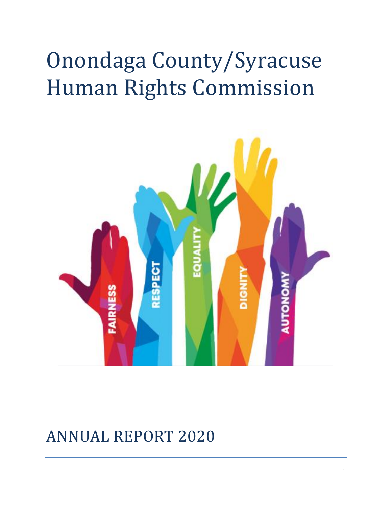# Onondaga County/Syracuse Human Rights Commission



# ANNUAL REPORT 2020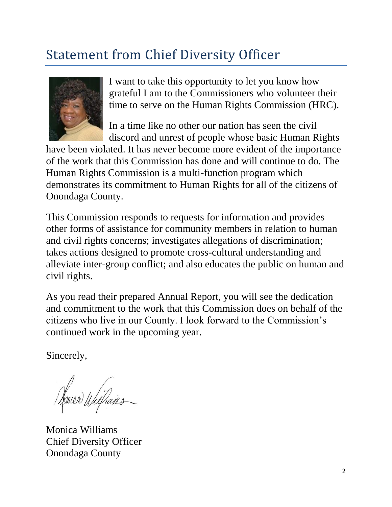## Statement from Chief Diversity Officer



I want to take this opportunity to let you know how grateful I am to the Commissioners who volunteer their time to serve on the Human Rights Commission (HRC).

In a time like no other our nation has seen the civil discord and unrest of people whose basic Human Rights

have been violated. It has never become more evident of the importance of the work that this Commission has done and will continue to do. The Human Rights Commission is a multi-function program which demonstrates its commitment to Human Rights for all of the citizens of Onondaga County.

This Commission responds to requests for information and provides other forms of assistance for community members in relation to human and civil rights concerns; investigates allegations of discrimination; takes actions designed to promote cross-cultural understanding and alleviate inter-group conflict; and also educates the public on human and civil rights.

As you read their prepared Annual Report, you will see the dedication and commitment to the work that this Commission does on behalf of the citizens who live in our County. I look forward to the Commission's continued work in the upcoming year.

Sincerely,

Venica Willans

Monica Williams Chief Diversity Officer Onondaga County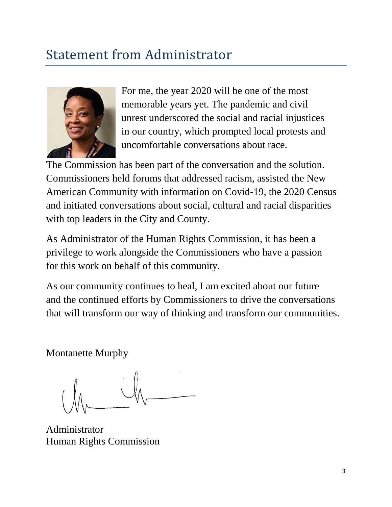### Statement from Administrator



For me, the year 2020 will be one of the most memorable years yet. The pandemic and civil unrest underscored the social and racial injustices in our country, which prompted local protests and uncomfortable conversations about race.

The Commission has been part of the conversation and the solution. Commissioners held forums that addressed racism, assisted the New American Community with information on Covid-19, the 2020 Census and initiated conversations about social, cultural and racial disparities with top leaders in the City and County.

As Administrator of the Human Rights Commission, it has been a privilege to work alongside the Commissioners who have a passion for this work on behalf of this community.

As our community continues to heal, I am excited about our future and the continued efforts by Commissioners to drive the conversations that will transform our way of thinking and transform our communities.

Montanette Murphy

Administrator Human Rights Commission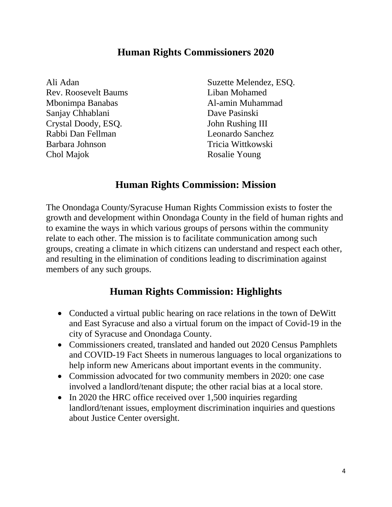#### **Human Rights Commissioners 2020**

Ali Adan Rev. Roosevelt Baums Mbonimpa Banabas Sanjay Chhablani Crystal Doody, ESQ. Rabbi Dan Fellman Barbara Johnson Chol Majok

Suzette Melendez, ESQ. Liban Mohamed Al-amin Muhammad Dave Pasinski John Rushing III Leonardo Sanchez Tricia Wittkowski Rosalie Young

#### **Human Rights Commission: Mission**

The Onondaga County/Syracuse Human Rights Commission exists to foster the growth and development within Onondaga County in the field of human rights and to examine the ways in which various groups of persons within the community relate to each other. The mission is to facilitate communication among such groups, creating a climate in which citizens can understand and respect each other, and resulting in the elimination of conditions leading to discrimination against members of any such groups.

#### **Human Rights Commission: Highlights**

- Conducted a virtual public hearing on race relations in the town of DeWitt and East Syracuse and also a virtual forum on the impact of Covid-19 in the city of Syracuse and Onondaga County.
- Commissioners created, translated and handed out 2020 Census Pamphlets and COVID-19 Fact Sheets in numerous languages to local organizations to help inform new Americans about important events in the community.
- Commission advocated for two community members in 2020: one case involved a landlord/tenant dispute; the other racial bias at a local store.
- In 2020 the HRC office received over 1,500 inquiries regarding landlord/tenant issues, employment discrimination inquiries and questions about Justice Center oversight.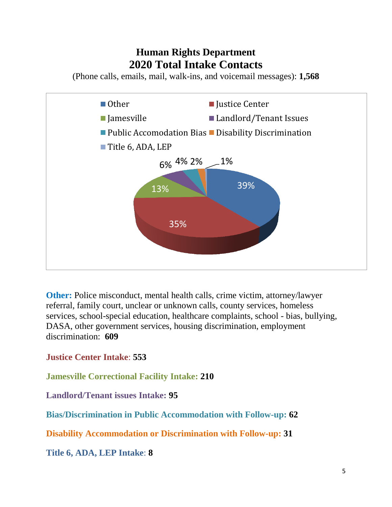#### **Human Rights Department 2020 Total Intake Contacts**

(Phone calls, emails, mail, walk-ins, and voicemail messages): **1,568**



**Other:** Police misconduct, mental health calls, crime victim, attorney/lawyer referral, family court, unclear or unknown calls, county services, homeless services, school-special education, healthcare complaints, school - bias, bullying, DASA, other government services, housing discrimination, employment discrimination: **609**

**Justice Center Intake**: **553**

**Jamesville Correctional Facility Intake: 210**

**Landlord/Tenant issues Intake: 95**

**Bias/Discrimination in Public Accommodation with Follow-up: 62**

**Disability Accommodation or Discrimination with Follow-up: 31**

**Title 6, ADA, LEP Intake**: **8**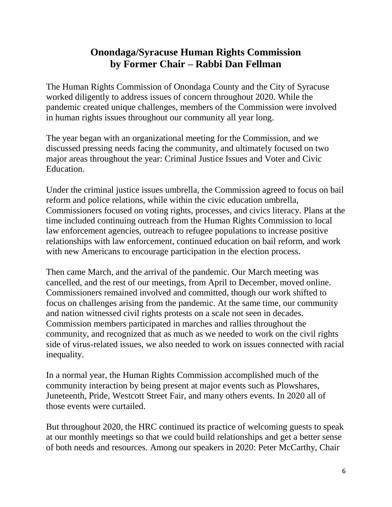#### **Onondaga/Syracuse Human Rights Commission by Former Chair – Rabbi Dan Fellman**

The Human Rights Commission of Onondaga County and the City of Syracuse worked diligently to address issues of concern throughout 2020. While the pandemic created unique challenges, members of the Commission were involved in human rights issues throughout our community all year long.

The year began with an organizational meeting for the Commission, and we discussed pressing needs facing the community, and ultimately focused on two major areas throughout the year: Criminal Justice Issues and Voter and Civic Education.

Under the criminal justice issues umbrella, the Commission agreed to focus on bail reform and police relations, while within the civic education umbrella, Commissioners focused on voting rights, processes, and civics literacy. Plans at the time included continuing outreach from the Human Rights Commission to local law enforcement agencies, outreach to refugee populations to increase positive relationships with law enforcement, continued education on bail reform, and work with new Americans to encourage participation in the election process.

Then came March, and the arrival of the pandemic. Our March meeting was cancelled, and the rest of our meetings, from April to December, moved online. Commissioners remained involved and committed, though our work shifted to focus on challenges arising from the pandemic. At the same time, our community and nation witnessed civil rights protests on a scale not seen in decades. Commission members participated in marches and rallies throughout the community, and recognized that as much as we needed to work on the civil rights side of virus-related issues, we also needed to work on issues connected with racial inequality.

In a normal year, the Human Rights Commission accomplished much of the community interaction by being present at major events such as Plowshares, Juneteenth, Pride, Westcott Street Fair, and many others events. In 2020 all of those events were curtailed.

But throughout 2020, the HRC continued its practice of welcoming guests to speak at our monthly meetings so that we could build relationships and get a better sense of both needs and resources. Among our speakers in 2020: Peter McCarthy, Chair